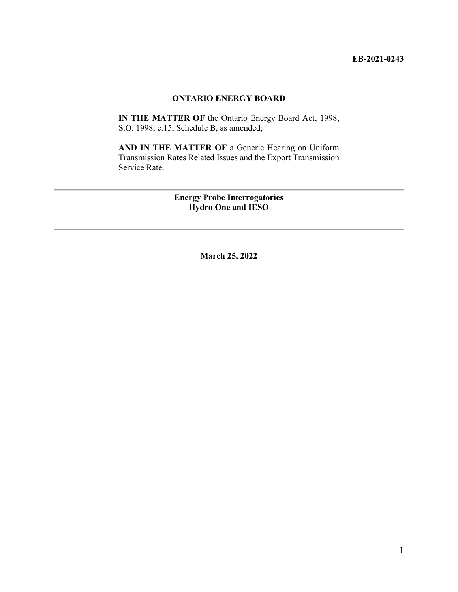### **ONTARIO ENERGY BOARD**

**IN THE MATTER OF** the Ontario Energy Board Act, 1998, S.O. 1998, c.15, Schedule B, as amended;

**AND IN THE MATTER OF** a Generic Hearing on Uniform Transmission Rates Related Issues and the Export Transmission Service Rate.

> **Energy Probe Interrogatories Hydro One and IESO**

> > **March 25, 2022**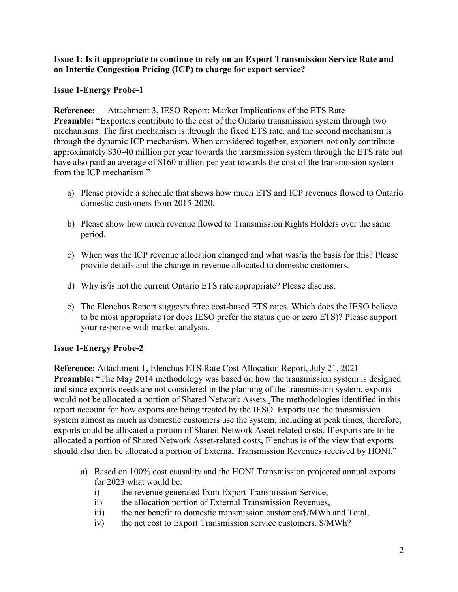# **Issue 1: Is it appropriate to continue to rely on an Export Transmission Service Rate and on Intertie Congestion Pricing (ICP) to charge for export service?**

# **Issue 1-Energy Probe-1**

**Reference:** Attachment 3, IESO Report: Market Implications of the ETS Rate **Preamble:** "Exporters contribute to the cost of the Ontario transmission system through two mechanisms. The first mechanism is through the fixed ETS rate, and the second mechanism is through the dynamic ICP mechanism. When considered together, exporters not only contribute approximately \$30-40 million per year towards the transmission system through the ETS rate but have also paid an average of \$160 million per year towards the cost of the transmission system from the ICP mechanism."

- a) Please provide a schedule that shows how much ETS and ICP revenues flowed to Ontario domestic customers from 2015-2020.
- b) Please show how much revenue flowed to Transmission Rights Holders over the same period.
- c) When was the ICP revenue allocation changed and what was/is the basis for this? Please provide details and the change in revenue allocated to domestic customers.
- d) Why is/is not the current Ontario ETS rate appropriate? Please discuss.
- e) The Elenchus Report suggests three cost-based ETS rates. Which does the IESO believe to be most appropriate (or does IESO prefer the status quo or zero ETS)? Please support your response with market analysis.

# **Issue 1-Energy Probe-2**

**Reference:** Attachment 1, Elenchus ETS Rate Cost Allocation Report, July 21, 2021 **Preamble:** "The May 2014 methodology was based on how the transmission system is designed and since exports needs are not considered in the planning of the transmission system, exports would not be allocated a portion of Shared Network Assets. The methodologies identified in this report account for how exports are being treated by the IESO. Exports use the transmission system almost as much as domestic customers use the system, including at peak times, therefore, exports could be allocated a portion of Shared Network Asset-related costs. If exports are to be allocated a portion of Shared Network Asset-related costs, Elenchus is of the view that exports should also then be allocated a portion of External Transmission Revenues received by HONI."

- a) Based on 100% cost causality and the HONI Transmission projected annual exports for 2023 what would be:
	- i) the revenue generated from Export Transmission Service,
	- ii) the allocation portion of External Transmission Revenues,
	- iii) the net benefit to domestic transmission customers\$/MWh and Total,
	- iv) the net cost to Export Transmission service customers. \$/MWh?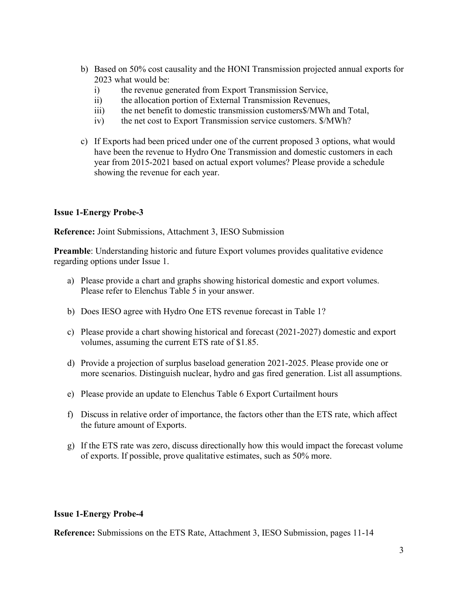- b) Based on 50% cost causality and the HONI Transmission projected annual exports for 2023 what would be:
	- i) the revenue generated from Export Transmission Service,
	- ii) the allocation portion of External Transmission Revenues,
	- iii) the net benefit to domestic transmission customers\$/MWh and Total,
	- iv) the net cost to Export Transmission service customers. \$/MWh?
- c) If Exports had been priced under one of the current proposed 3 options, what would have been the revenue to Hydro One Transmission and domestic customers in each year from 2015-2021 based on actual export volumes? Please provide a schedule showing the revenue for each year.

# **Issue 1-Energy Probe-3**

**Reference:** Joint Submissions, Attachment 3, IESO Submission

**Preamble**: Understanding historic and future Export volumes provides qualitative evidence regarding options under Issue 1.

- a) Please provide a chart and graphs showing historical domestic and export volumes. Please refer to Elenchus Table 5 in your answer.
- b) Does IESO agree with Hydro One ETS revenue forecast in Table 1?
- c) Please provide a chart showing historical and forecast (2021-2027) domestic and export volumes, assuming the current ETS rate of \$1.85.
- d) Provide a projection of surplus baseload generation 2021-2025. Please provide one or more scenarios. Distinguish nuclear, hydro and gas fired generation. List all assumptions.
- e) Please provide an update to Elenchus Table 6 Export Curtailment hours
- f) Discuss in relative order of importance, the factors other than the ETS rate, which affect the future amount of Exports.
- g) If the ETS rate was zero, discuss directionally how this would impact the forecast volume of exports. If possible, prove qualitative estimates, such as 50% more.

### **Issue 1-Energy Probe-4**

**Reference:** Submissions on the ETS Rate, Attachment 3, IESO Submission, pages 11-14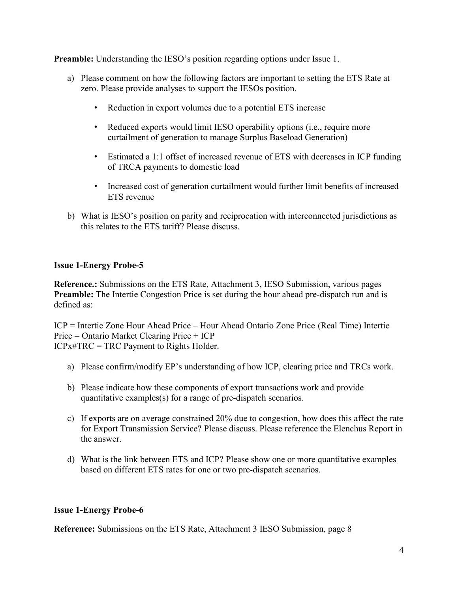**Preamble:** Understanding the IESO's position regarding options under Issue 1.

- a) Please comment on how the following factors are important to setting the ETS Rate at zero. Please provide analyses to support the IESOs position.
	- Reduction in export volumes due to a potential ETS increase
	- Reduced exports would limit IESO operability options (i.e., require more curtailment of generation to manage Surplus Baseload Generation)
	- Estimated a 1:1 offset of increased revenue of ETS with decreases in ICP funding of TRCA payments to domestic load
	- Increased cost of generation curtailment would further limit benefits of increased ETS revenue
- b) What is IESO's position on parity and reciprocation with interconnected jurisdictions as this relates to the ETS tariff? Please discuss.

# **Issue 1-Energy Probe-5**

**Reference.:** Submissions on the ETS Rate, Attachment 3, IESO Submission, various pages Preamble: The Intertie Congestion Price is set during the hour ahead pre-dispatch run and is defined as:

ICP = Intertie Zone Hour Ahead Price – Hour Ahead Ontario Zone Price (Real Time) Intertie Price = Ontario Market Clearing Price + ICP ICPx#TRC = TRC Payment to Rights Holder.

- a) Please confirm/modify EP's understanding of how ICP, clearing price and TRCs work.
- b) Please indicate how these components of export transactions work and provide quantitative examples(s) for a range of pre-dispatch scenarios.
- c) If exports are on average constrained 20% due to congestion, how does this affect the rate for Export Transmission Service? Please discuss. Please reference the Elenchus Report in the answer.
- d) What is the link between ETS and ICP? Please show one or more quantitative examples based on different ETS rates for one or two pre-dispatch scenarios.

### **Issue 1-Energy Probe-6**

**Reference:** Submissions on the ETS Rate, Attachment 3 IESO Submission, page 8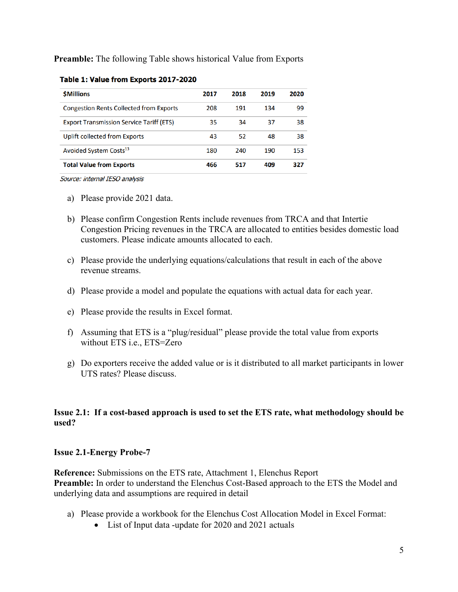**Preamble:** The following Table shows historical Value from Exports

| <b><i>SMillions</i></b>                         | 2017 | 2018 | 2019 | 2020 |
|-------------------------------------------------|------|------|------|------|
| <b>Congestion Rents Collected from Exports</b>  | 208  | 191  | 134  | 99   |
| <b>Export Transmission Service Tariff (ETS)</b> | 35   | 34   | 37   | 38   |
| Uplift collected from Exports                   | 43   | 52   | 48   | 38   |
| Avoided System Costs <sup>13</sup>              | 180  | 240  | 190  | 153  |
| <b>Total Value from Exports</b>                 | 466  | 517  | 409  | 327  |

#### Table 1: Value from Exports 2017-2020

Source: internal IESO analysis

- a) Please provide 2021 data.
- b) Please confirm Congestion Rents include revenues from TRCA and that Intertie Congestion Pricing revenues in the TRCA are allocated to entities besides domestic load customers. Please indicate amounts allocated to each.
- c) Please provide the underlying equations/calculations that result in each of the above revenue streams.
- d) Please provide a model and populate the equations with actual data for each year.
- e) Please provide the results in Excel format.
- f) Assuming that ETS is a "plug/residual" please provide the total value from exports without ETS i.e., ETS=Zero
- g) Do exporters receive the added value or is it distributed to all market participants in lower UTS rates? Please discuss.

# **Issue 2.1: If a cost-based approach is used to set the ETS rate, what methodology should be used?**

#### **Issue 2.1-Energy Probe-7**

**Reference:** Submissions on the ETS rate, Attachment 1, Elenchus Report **Preamble:** In order to understand the Elenchus Cost-Based approach to the ETS the Model and underlying data and assumptions are required in detail

- a) Please provide a workbook for the Elenchus Cost Allocation Model in Excel Format:
	- List of Input data -update for 2020 and 2021 actuals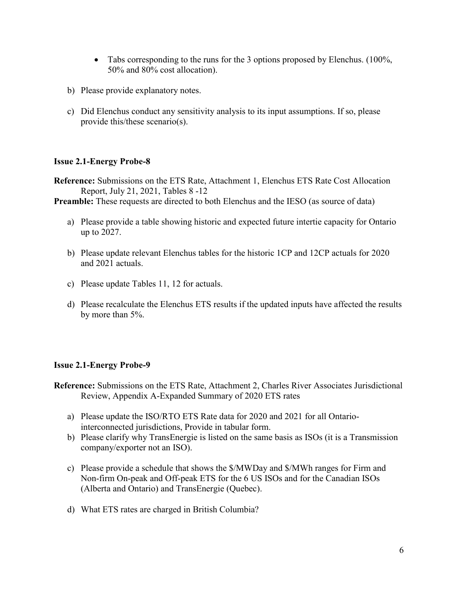- Tabs corresponding to the runs for the 3 options proposed by Elenchus. (100%, 50% and 80% cost allocation).
- b) Please provide explanatory notes.
- c) Did Elenchus conduct any sensitivity analysis to its input assumptions. If so, please provide this/these scenario(s).

### **Issue 2.1-Energy Probe-8**

**Reference:** Submissions on the ETS Rate, Attachment 1, Elenchus ETS Rate Cost Allocation Report, July 21, 2021, Tables 8 -12

**Preamble:** These requests are directed to both Elenchus and the IESO (as source of data)

- a) Please provide a table showing historic and expected future intertie capacity for Ontario up to 2027.
- b) Please update relevant Elenchus tables for the historic 1CP and 12CP actuals for 2020 and 2021 actuals.
- c) Please update Tables 11, 12 for actuals.
- d) Please recalculate the Elenchus ETS results if the updated inputs have affected the results by more than 5%.

### **Issue 2.1-Energy Probe-9**

- **Reference:** Submissions on the ETS Rate, Attachment 2, Charles River Associates Jurisdictional Review, Appendix A-Expanded Summary of 2020 ETS rates
	- a) Please update the ISO/RTO ETS Rate data for 2020 and 2021 for all Ontariointerconnected jurisdictions, Provide in tabular form.
	- b) Please clarify why TransEnergie is listed on the same basis as ISOs (it is a Transmission company/exporter not an ISO).
	- c) Please provide a schedule that shows the \$/MWDay and \$/MWh ranges for Firm and Non-firm On-peak and Off-peak ETS for the 6 US ISOs and for the Canadian ISOs (Alberta and Ontario) and TransEnergie (Quebec).
	- d) What ETS rates are charged in British Columbia?